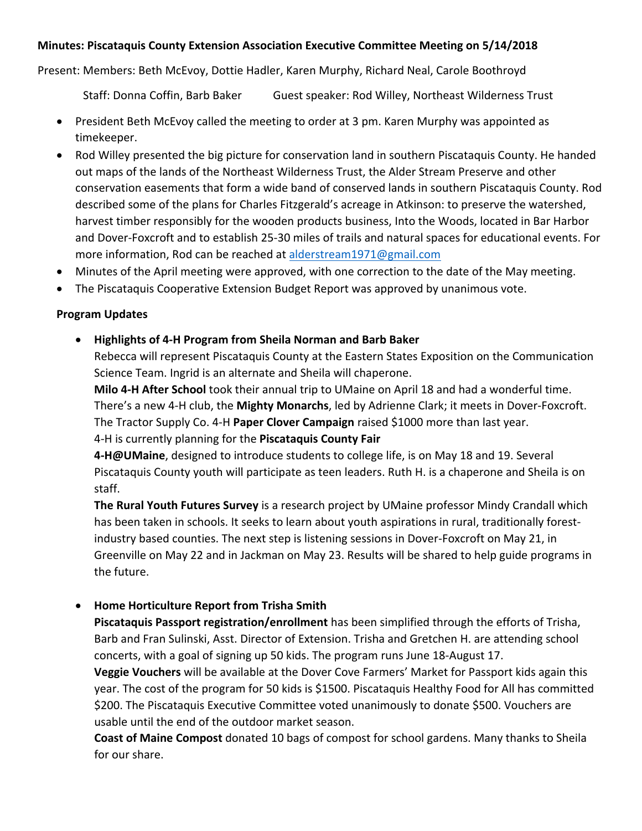# Minutes: Piscataquis County Extension Association Executive Committee Meeting on 5/14/2018

Present: Members: Beth McEvoy, Dottie Hadler, Karen Murphy, Richard Neal, Carole Boothroyd

Staff: Donna Coffin, Barb Baker Guest speaker: Rod Willey, Northeast Wilderness Trust

- President Beth McEvoy called the meeting to order at 3 pm. Karen Murphy was appointed as timekeeper.
- Rod Willey presented the big picture for conservation land in southern Piscataquis County. He handed out maps of the lands of the Northeast Wilderness Trust, the Alder Stream Preserve and other conservation easements that form a wide band of conserved lands in southern Piscataquis County. Rod described some of the plans for Charles Fitzgerald's acreage in Atkinson: to preserve the watershed, harvest timber responsibly for the wooden products business, Into the Woods, located in Bar Harbor and Dover-Foxcroft and to establish 25-30 miles of trails and natural spaces for educational events. For more information, Rod can be reached at alderstream1971@gmail.com
- Minutes of the April meeting were approved, with one correction to the date of the May meeting.
- The Piscataquis Cooperative Extension Budget Report was approved by unanimous vote.

# **Program Updates**

• **Highlights of 4-H Program from Sheila Norman and Barb Baker**

Rebecca will represent Piscataquis County at the Eastern States Exposition on the Communication Science Team. Ingrid is an alternate and Sheila will chaperone.

**Milo 4-H After School** took their annual trip to UMaine on April 18 and had a wonderful time. There's a new 4-H club, the **Mighty Monarchs**, led by Adrienne Clark; it meets in Dover-Foxcroft. The Tractor Supply Co. 4-H **Paper Clover Campaign** raised \$1000 more than last year. 4-H is currently planning for the Piscataquis County Fair

4-H@UMaine, designed to introduce students to college life, is on May 18 and 19. Several Piscataquis County youth will participate as teen leaders. Ruth H. is a chaperone and Sheila is on staff. 

**The Rural Youth Futures Survey** is a research project by UMaine professor Mindy Crandall which has been taken in schools. It seeks to learn about youth aspirations in rural, traditionally forestindustry based counties. The next step is listening sessions in Dover-Foxcroft on May 21, in Greenville on May 22 and in Jackman on May 23. Results will be shared to help guide programs in the future.

# • **Home Horticulture Report from Trisha Smith**

Piscataquis Passport registration/enrollment has been simplified through the efforts of Trisha, Barb and Fran Sulinski, Asst. Director of Extension. Trisha and Gretchen H. are attending school concerts, with a goal of signing up 50 kids. The program runs June 18-August 17.

**Veggie Vouchers** will be available at the Dover Cove Farmers' Market for Passport kids again this year. The cost of the program for 50 kids is \$1500. Piscataquis Healthy Food for All has committed \$200. The Piscataquis Executive Committee voted unanimously to donate \$500. Vouchers are usable until the end of the outdoor market season.

**Coast of Maine Compost** donated 10 bags of compost for school gardens. Many thanks to Sheila for our share.